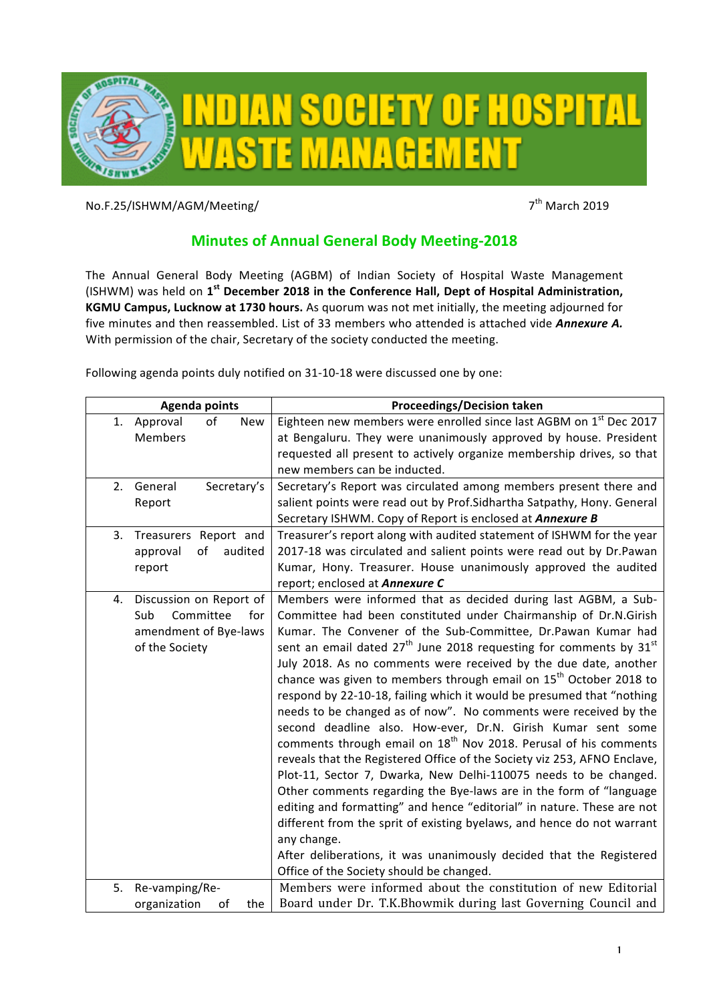

No.F.25/ISHWM/AGM/Meeting/ 7th March 2019

## **Minutes of Annual General Body Meeting-2018**

The Annual General Body Meeting (AGBM) of Indian Society of Hospital Waste Management (ISHWM) was held on 1<sup>st</sup> December 2018 in the Conference Hall, Dept of Hospital Administration, **KGMU Campus, Lucknow at 1730 hours.** As quorum was not met initially, the meeting adjourned for five minutes and then reassembled. List of 33 members who attended is attached vide *Annexure A.* With permission of the chair, Secretary of the society conducted the meeting.

Following agenda points duly notified on 31-10-18 were discussed one by one:

| <b>Agenda points</b>                                                                                | <b>Proceedings/Decision taken</b>                                                                                                                                                                                                                                                                                                                                                                                                                                                                                                                                                                                                                                                                                                                                                                                                                                                                                                                                                                                                                                                                                                                                                               |
|-----------------------------------------------------------------------------------------------------|-------------------------------------------------------------------------------------------------------------------------------------------------------------------------------------------------------------------------------------------------------------------------------------------------------------------------------------------------------------------------------------------------------------------------------------------------------------------------------------------------------------------------------------------------------------------------------------------------------------------------------------------------------------------------------------------------------------------------------------------------------------------------------------------------------------------------------------------------------------------------------------------------------------------------------------------------------------------------------------------------------------------------------------------------------------------------------------------------------------------------------------------------------------------------------------------------|
| Approval<br>of<br>1.<br>New                                                                         | Eighteen new members were enrolled since last AGBM on 1st Dec 2017                                                                                                                                                                                                                                                                                                                                                                                                                                                                                                                                                                                                                                                                                                                                                                                                                                                                                                                                                                                                                                                                                                                              |
| Members                                                                                             | at Bengaluru. They were unanimously approved by house. President                                                                                                                                                                                                                                                                                                                                                                                                                                                                                                                                                                                                                                                                                                                                                                                                                                                                                                                                                                                                                                                                                                                                |
|                                                                                                     | requested all present to actively organize membership drives, so that                                                                                                                                                                                                                                                                                                                                                                                                                                                                                                                                                                                                                                                                                                                                                                                                                                                                                                                                                                                                                                                                                                                           |
|                                                                                                     | new members can be inducted.                                                                                                                                                                                                                                                                                                                                                                                                                                                                                                                                                                                                                                                                                                                                                                                                                                                                                                                                                                                                                                                                                                                                                                    |
| 2. General<br>Secretary's                                                                           | Secretary's Report was circulated among members present there and                                                                                                                                                                                                                                                                                                                                                                                                                                                                                                                                                                                                                                                                                                                                                                                                                                                                                                                                                                                                                                                                                                                               |
| Report                                                                                              | salient points were read out by Prof. Sidhartha Satpathy, Hony. General                                                                                                                                                                                                                                                                                                                                                                                                                                                                                                                                                                                                                                                                                                                                                                                                                                                                                                                                                                                                                                                                                                                         |
|                                                                                                     | Secretary ISHWM. Copy of Report is enclosed at Annexure B                                                                                                                                                                                                                                                                                                                                                                                                                                                                                                                                                                                                                                                                                                                                                                                                                                                                                                                                                                                                                                                                                                                                       |
| Treasurers Report and<br>3.                                                                         | Treasurer's report along with audited statement of ISHWM for the year                                                                                                                                                                                                                                                                                                                                                                                                                                                                                                                                                                                                                                                                                                                                                                                                                                                                                                                                                                                                                                                                                                                           |
| approval<br>of<br>audited                                                                           | 2017-18 was circulated and salient points were read out by Dr.Pawan                                                                                                                                                                                                                                                                                                                                                                                                                                                                                                                                                                                                                                                                                                                                                                                                                                                                                                                                                                                                                                                                                                                             |
| report                                                                                              | Kumar, Hony. Treasurer. House unanimously approved the audited                                                                                                                                                                                                                                                                                                                                                                                                                                                                                                                                                                                                                                                                                                                                                                                                                                                                                                                                                                                                                                                                                                                                  |
|                                                                                                     | report; enclosed at Annexure C                                                                                                                                                                                                                                                                                                                                                                                                                                                                                                                                                                                                                                                                                                                                                                                                                                                                                                                                                                                                                                                                                                                                                                  |
| Discussion on Report of<br>4.<br>Committee<br>Sub<br>for<br>amendment of Bye-laws<br>of the Society | Members were informed that as decided during last AGBM, a Sub-<br>Committee had been constituted under Chairmanship of Dr.N.Girish<br>Kumar. The Convener of the Sub-Committee, Dr.Pawan Kumar had<br>sent an email dated $27th$ June 2018 requesting for comments by 31 $st$<br>July 2018. As no comments were received by the due date, another<br>chance was given to members through email on 15 <sup>th</sup> October 2018 to<br>respond by 22-10-18, failing which it would be presumed that "nothing<br>needs to be changed as of now". No comments were received by the<br>second deadline also. How-ever, Dr.N. Girish Kumar sent some<br>comments through email on 18 <sup>th</sup> Nov 2018. Perusal of his comments<br>reveals that the Registered Office of the Society viz 253, AFNO Enclave,<br>Plot-11, Sector 7, Dwarka, New Delhi-110075 needs to be changed.<br>Other comments regarding the Bye-laws are in the form of "language<br>editing and formatting" and hence "editorial" in nature. These are not<br>different from the sprit of existing byelaws, and hence do not warrant<br>any change.<br>After deliberations, it was unanimously decided that the Registered |
|                                                                                                     | Office of the Society should be changed.                                                                                                                                                                                                                                                                                                                                                                                                                                                                                                                                                                                                                                                                                                                                                                                                                                                                                                                                                                                                                                                                                                                                                        |
| Re-vamping/Re-<br>5.                                                                                | Members were informed about the constitution of new Editorial                                                                                                                                                                                                                                                                                                                                                                                                                                                                                                                                                                                                                                                                                                                                                                                                                                                                                                                                                                                                                                                                                                                                   |
| organization<br>the<br>οf                                                                           | Board under Dr. T.K.Bhowmik during last Governing Council and                                                                                                                                                                                                                                                                                                                                                                                                                                                                                                                                                                                                                                                                                                                                                                                                                                                                                                                                                                                                                                                                                                                                   |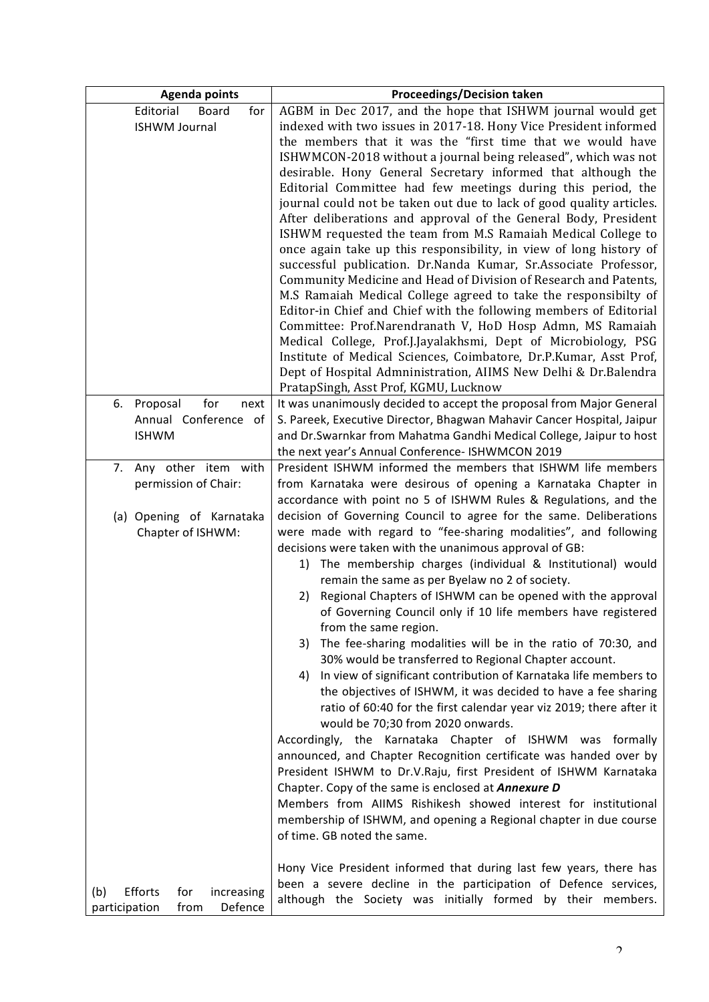| <b>Agenda points</b>                                                    | <b>Proceedings/Decision taken</b>                                                                                                                                                                                                                                                                                                                                                                                                                                                                                                                                                                                                                                                                                                                                                                                                                                                                                                                                                                                                                                                                                                                                                                                                                                                                                                                                                         |
|-------------------------------------------------------------------------|-------------------------------------------------------------------------------------------------------------------------------------------------------------------------------------------------------------------------------------------------------------------------------------------------------------------------------------------------------------------------------------------------------------------------------------------------------------------------------------------------------------------------------------------------------------------------------------------------------------------------------------------------------------------------------------------------------------------------------------------------------------------------------------------------------------------------------------------------------------------------------------------------------------------------------------------------------------------------------------------------------------------------------------------------------------------------------------------------------------------------------------------------------------------------------------------------------------------------------------------------------------------------------------------------------------------------------------------------------------------------------------------|
| Editorial<br>Board<br>for<br><b>ISHWM Journal</b>                       | AGBM in Dec 2017, and the hope that ISHWM journal would get<br>indexed with two issues in 2017-18. Hony Vice President informed<br>the members that it was the "first time that we would have<br>ISHWMCON-2018 without a journal being released", which was not<br>desirable. Hony General Secretary informed that although the<br>Editorial Committee had few meetings during this period, the<br>journal could not be taken out due to lack of good quality articles.<br>After deliberations and approval of the General Body, President<br>ISHWM requested the team from M.S Ramaiah Medical College to<br>once again take up this responsibility, in view of long history of<br>successful publication. Dr.Nanda Kumar, Sr.Associate Professor,<br>Community Medicine and Head of Division of Research and Patents,<br>M.S Ramaiah Medical College agreed to take the responsibilty of<br>Editor-in Chief and Chief with the following members of Editorial<br>Committee: Prof.Narendranath V, HoD Hosp Admn, MS Ramaiah<br>Medical College, Prof.J.Jayalakhsmi, Dept of Microbiology, PSG<br>Institute of Medical Sciences, Coimbatore, Dr.P.Kumar, Asst Prof,<br>Dept of Hospital Admninistration, AIIMS New Delhi & Dr.Balendra<br>PratapSingh, Asst Prof, KGMU, Lucknow                                                                                                           |
| for<br>6.<br>Proposal<br>next<br>Annual Conference of<br><b>ISHWM</b>   | It was unanimously decided to accept the proposal from Major General<br>S. Pareek, Executive Director, Bhagwan Mahavir Cancer Hospital, Jaipur<br>and Dr. Swarnkar from Mahatma Gandhi Medical College, Jaipur to host<br>the next year's Annual Conference- ISHWMCON 2019                                                                                                                                                                                                                                                                                                                                                                                                                                                                                                                                                                                                                                                                                                                                                                                                                                                                                                                                                                                                                                                                                                                |
| Any other item with<br>7.<br>permission of Chair:                       | President ISHWM informed the members that ISHWM life members<br>from Karnataka were desirous of opening a Karnataka Chapter in<br>accordance with point no 5 of ISHWM Rules & Regulations, and the                                                                                                                                                                                                                                                                                                                                                                                                                                                                                                                                                                                                                                                                                                                                                                                                                                                                                                                                                                                                                                                                                                                                                                                        |
| (a) Opening of Karnataka<br>Chapter of ISHWM:                           | decision of Governing Council to agree for the same. Deliberations<br>were made with regard to "fee-sharing modalities", and following<br>decisions were taken with the unanimous approval of GB:<br>The membership charges (individual & Institutional) would<br>1)<br>remain the same as per Byelaw no 2 of society.<br>Regional Chapters of ISHWM can be opened with the approval<br>2)<br>of Governing Council only if 10 life members have registered<br>from the same region.<br>The fee-sharing modalities will be in the ratio of 70:30, and<br>3)<br>30% would be transferred to Regional Chapter account.<br>In view of significant contribution of Karnataka life members to<br>4)<br>the objectives of ISHWM, it was decided to have a fee sharing<br>ratio of 60:40 for the first calendar year viz 2019; there after it<br>would be 70;30 from 2020 onwards.<br>Accordingly, the Karnataka Chapter of ISHWM was formally<br>announced, and Chapter Recognition certificate was handed over by<br>President ISHWM to Dr.V.Raju, first President of ISHWM Karnataka<br>Chapter. Copy of the same is enclosed at <b>Annexure D</b><br>Members from AIIMS Rishikesh showed interest for institutional<br>membership of ISHWM, and opening a Regional chapter in due course<br>of time. GB noted the same.<br>Hony Vice President informed that during last few years, there has |
| Efforts<br>for<br>increasing<br>(b)<br>Defence<br>participation<br>from | been a severe decline in the participation of Defence services,<br>although the Society was initially formed by their members.                                                                                                                                                                                                                                                                                                                                                                                                                                                                                                                                                                                                                                                                                                                                                                                                                                                                                                                                                                                                                                                                                                                                                                                                                                                            |